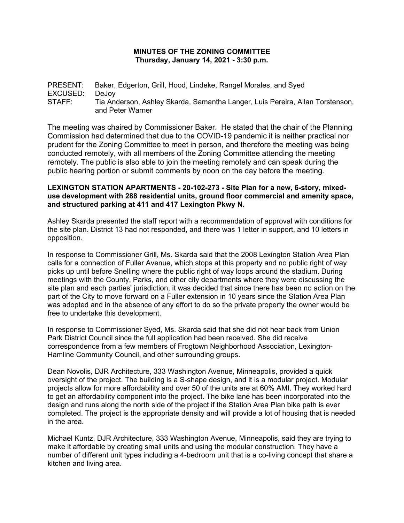## **MINUTES OF THE ZONING COMMITTEE Thursday, January 14, 2021 - 3:30 p.m.**

PRESENT: Baker, Edgerton, Grill, Hood, Lindeke, Rangel Morales, and Syed EXCUSED: DeJoy STAFF: Tia Anderson, Ashley Skarda, Samantha Langer, Luis Pereira, Allan Torstenson, and Peter Warner

The meeting was chaired by Commissioner Baker. He stated that the chair of the Planning Commission had determined that due to the COVID-19 pandemic it is neither practical nor prudent for the Zoning Committee to meet in person, and therefore the meeting was being conducted remotely, with all members of the Zoning Committee attending the meeting remotely. The public is also able to join the meeting remotely and can speak during the public hearing portion or submit comments by noon on the day before the meeting.

## **LEXINGTON STATION APARTMENTS - 20-102-273 - Site Plan for a new, 6-story, mixeduse development with 288 residential units, ground floor commercial and amenity space, and structured parking at 411 and 417 Lexington Pkwy N.**

Ashley Skarda presented the staff report with a recommendation of approval with conditions for the site plan. District 13 had not responded, and there was 1 letter in support, and 10 letters in opposition.

In response to Commissioner Grill, Ms. Skarda said that the 2008 Lexington Station Area Plan calls for a connection of Fuller Avenue, which stops at this property and no public right of way picks up until before Snelling where the public right of way loops around the stadium. During meetings with the County, Parks, and other city departments where they were discussing the site plan and each parties' jurisdiction, it was decided that since there has been no action on the part of the City to move forward on a Fuller extension in 10 years since the Station Area Plan was adopted and in the absence of any effort to do so the private property the owner would be free to undertake this development.

In response to Commissioner Syed, Ms. Skarda said that she did not hear back from Union Park District Council since the full application had been received. She did receive correspondence from a few members of Frogtown Neighborhood Association, Lexington-Hamline Community Council, and other surrounding groups.

Dean Novolis, DJR Architecture, 333 Washington Avenue, Minneapolis, provided a quick oversight of the project. The building is a S-shape design, and it is a modular project. Modular projects allow for more affordability and over 50 of the units are at 60% AMI. They worked hard to get an affordability component into the project. The bike lane has been incorporated into the design and runs along the north side of the project if the Station Area Plan bike path is ever completed. The project is the appropriate density and will provide a lot of housing that is needed in the area.

Michael Kuntz, DJR Architecture, 333 Washington Avenue, Minneapolis, said they are trying to make it affordable by creating small units and using the modular construction. They have a number of different unit types including a 4-bedroom unit that is a co-living concept that share a kitchen and living area.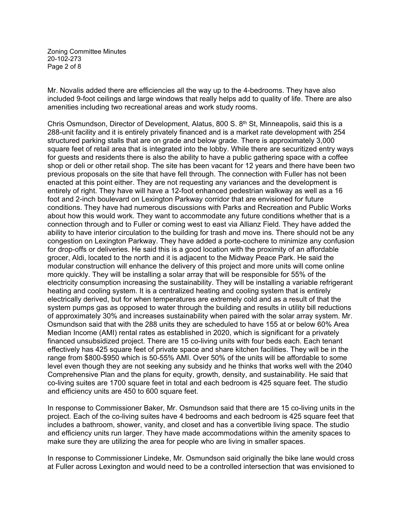Zoning Committee Minutes 20-102-273 Page 2 of 8

Mr. Novalis added there are efficiencies all the way up to the 4-bedrooms. They have also included 9-foot ceilings and large windows that really helps add to quality of life. There are also amenities including two recreational areas and work study rooms.

Chris Osmundson, Director of Development, Alatus, 800 S.  $8<sup>th</sup>$  St, Minneapolis, said this is a 288-unit facility and it is entirely privately financed and is a market rate development with 254 structured parking stalls that are on grade and below grade. There is approximately 3,000 square feet of retail area that is integrated into the lobby. While there are securitized entry ways for guests and residents there is also the ability to have a public gathering space with a coffee shop or deli or other retail shop. The site has been vacant for 12 years and there have been two previous proposals on the site that have fell through. The connection with Fuller has not been enacted at this point either. They are not requesting any variances and the development is entirely of right. They have will have a 12-foot enhanced pedestrian walkway as well as a 16 foot and 2-inch boulevard on Lexington Parkway corridor that are envisioned for future conditions. They have had numerous discussions with Parks and Recreation and Public Works about how this would work. They want to accommodate any future conditions whether that is a connection through and to Fuller or coming west to east via Allianz Field. They have added the ability to have interior circulation to the building for trash and move ins. There should not be any congestion on Lexington Parkway. They have added a porte-cochere to minimize any confusion for drop-offs or deliveries. He said this is a good location with the proximity of an affordable grocer, Aldi, located to the north and it is adjacent to the Midway Peace Park. He said the modular construction will enhance the delivery of this project and more units will come online more quickly. They will be installing a solar array that will be responsible for 55% of the electricity consumption increasing the sustainability. They will be installing a variable refrigerant heating and cooling system. It is a centralized heating and cooling system that is entirely electrically derived, but for when temperatures are extremely cold and as a result of that the system pumps gas as opposed to water through the building and results in utility bill reductions of approximately 30% and increases sustainability when paired with the solar array system. Mr. Osmundson said that with the 288 units they are scheduled to have 155 at or below 60% Area Median Income (AMI) rental rates as established in 2020, which is significant for a privately financed unsubsidized project. There are 15 co-living units with four beds each. Each tenant effectively has 425 square feet of private space and share kitchen facilities. They will be in the range from \$800-\$950 which is 50-55% AMI. Over 50% of the units will be affordable to some level even though they are not seeking any subsidy and he thinks that works well with the 2040 Comprehensive Plan and the plans for equity, growth, density, and sustainability. He said that co-living suites are 1700 square feet in total and each bedroom is 425 square feet. The studio and efficiency units are 450 to 600 square feet.

In response to Commissioner Baker, Mr. Osmundson said that there are 15 co-living units in the project. Each of the co-living suites have 4 bedrooms and each bedroom is 425 square feet that includes a bathroom, shower, vanity, and closet and has a convertible living space. The studio and efficiency units run larger. They have made accommodations within the amenity spaces to make sure they are utilizing the area for people who are living in smaller spaces.

In response to Commissioner Lindeke, Mr. Osmundson said originally the bike lane would cross at Fuller across Lexington and would need to be a controlled intersection that was envisioned to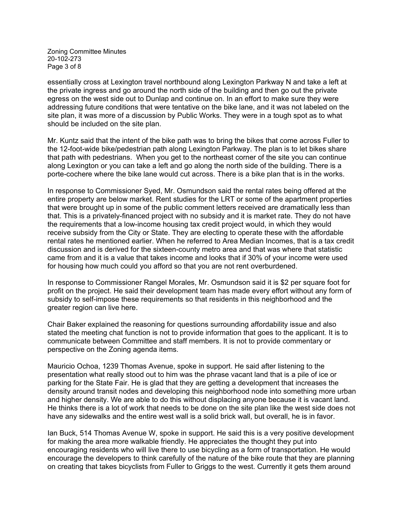Zoning Committee Minutes 20-102-273 Page 3 of 8

essentially cross at Lexington travel northbound along Lexington Parkway N and take a left at the private ingress and go around the north side of the building and then go out the private egress on the west side out to Dunlap and continue on. In an effort to make sure they were addressing future conditions that were tentative on the bike lane, and it was not labeled on the site plan, it was more of a discussion by Public Works. They were in a tough spot as to what should be included on the site plan.

Mr. Kuntz said that the intent of the bike path was to bring the bikes that come across Fuller to the 12-foot-wide bike/pedestrian path along Lexington Parkway. The plan is to let bikes share that path with pedestrians. When you get to the northeast corner of the site you can continue along Lexington or you can take a left and go along the north side of the building. There is a porte-cochere where the bike lane would cut across. There is a bike plan that is in the works.

In response to Commissioner Syed, Mr. Osmundson said the rental rates being offered at the entire property are below market. Rent studies for the LRT or some of the apartment properties that were brought up in some of the public comment letters received are dramatically less than that. This is a privately-financed project with no subsidy and it is market rate. They do not have the requirements that a low-income housing tax credit project would, in which they would receive subsidy from the City or State. They are electing to operate these with the affordable rental rates he mentioned earlier. When he referred to Area Median Incomes, that is a tax credit discussion and is derived for the sixteen-county metro area and that was where that statistic came from and it is a value that takes income and looks that if 30% of your income were used for housing how much could you afford so that you are not rent overburdened.

In response to Commissioner Rangel Morales, Mr. Osmundson said it is \$2 per square foot for profit on the project. He said their development team has made every effort without any form of subsidy to self-impose these requirements so that residents in this neighborhood and the greater region can live here.

Chair Baker explained the reasoning for questions surrounding affordability issue and also stated the meeting chat function is not to provide information that goes to the applicant. It is to communicate between Committee and staff members. It is not to provide commentary or perspective on the Zoning agenda items.

Mauricio Ochoa, 1239 Thomas Avenue, spoke in support. He said after listening to the presentation what really stood out to him was the phrase vacant land that is a pile of ice or parking for the State Fair. He is glad that they are getting a development that increases the density around transit nodes and developing this neighborhood node into something more urban and higher density. We are able to do this without displacing anyone because it is vacant land. He thinks there is a lot of work that needs to be done on the site plan like the west side does not have any sidewalks and the entire west wall is a solid brick wall, but overall, he is in favor.

Ian Buck, 514 Thomas Avenue W, spoke in support. He said this is a very positive development for making the area more walkable friendly. He appreciates the thought they put into encouraging residents who will live there to use bicycling as a form of transportation. He would encourage the developers to think carefully of the nature of the bike route that they are planning on creating that takes bicyclists from Fuller to Griggs to the west. Currently it gets them around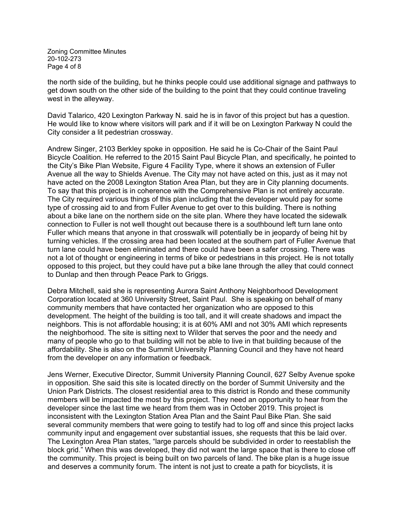Zoning Committee Minutes 20-102-273 Page 4 of 8

the north side of the building, but he thinks people could use additional signage and pathways to get down south on the other side of the building to the point that they could continue traveling west in the alleyway.

David Talarico, 420 Lexington Parkway N. said he is in favor of this project but has a question. He would like to know where visitors will park and if it will be on Lexington Parkway N could the City consider a lit pedestrian crossway.

Andrew Singer, 2103 Berkley spoke in opposition. He said he is Co-Chair of the Saint Paul Bicycle Coalition. He referred to the 2015 Saint Paul Bicycle Plan, and specifically, he pointed to the City's Bike Plan Website, Figure 4 Facility Type, where it shows an extension of Fuller Avenue all the way to Shields Avenue. The City may not have acted on this, just as it may not have acted on the 2008 Lexington Station Area Plan, but they are in City planning documents. To say that this project is in coherence with the Comprehensive Plan is not entirely accurate. The City required various things of this plan including that the developer would pay for some type of crossing aid to and from Fuller Avenue to get over to this building. There is nothing about a bike lane on the northern side on the site plan. Where they have located the sidewalk connection to Fuller is not well thought out because there is a southbound left turn lane onto Fuller which means that anyone in that crosswalk will potentially be in jeopardy of being hit by turning vehicles. If the crossing area had been located at the southern part of Fuller Avenue that turn lane could have been eliminated and there could have been a safer crossing. There was not a lot of thought or engineering in terms of bike or pedestrians in this project. He is not totally opposed to this project, but they could have put a bike lane through the alley that could connect to Dunlap and then through Peace Park to Griggs.

Debra Mitchell, said she is representing Aurora Saint Anthony Neighborhood Development Corporation located at 360 University Street, Saint Paul. She is speaking on behalf of many community members that have contacted her organization who are opposed to this development. The height of the building is too tall, and it will create shadows and impact the neighbors. This is not affordable housing; it is at 60% AMI and not 30% AMI which represents the neighborhood. The site is sitting next to Wilder that serves the poor and the needy and many of people who go to that building will not be able to live in that building because of the affordability. She is also on the Summit University Planning Council and they have not heard from the developer on any information or feedback.

Jens Werner, Executive Director, Summit University Planning Council, 627 Selby Avenue spoke in opposition. She said this site is located directly on the border of Summit University and the Union Park Districts. The closest residential area to this district is Rondo and these community members will be impacted the most by this project. They need an opportunity to hear from the developer since the last time we heard from them was in October 2019. This project is inconsistent with the Lexington Station Area Plan and the Saint Paul Bike Plan. She said several community members that were going to testify had to log off and since this project lacks community input and engagement over substantial issues, she requests that this be laid over. The Lexington Area Plan states, "large parcels should be subdivided in order to reestablish the block grid." When this was developed, they did not want the large space that is there to close off the community. This project is being built on two parcels of land. The bike plan is a huge issue and deserves a community forum. The intent is not just to create a path for bicyclists, it is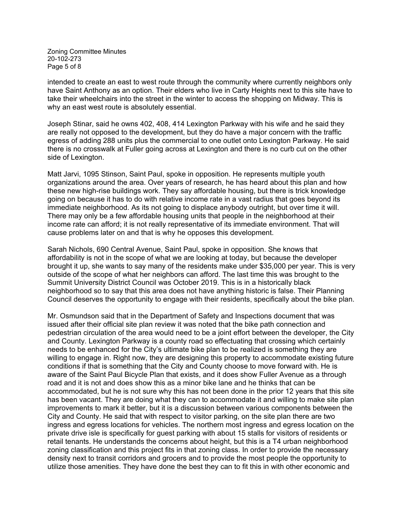Zoning Committee Minutes 20-102-273 Page 5 of 8

intended to create an east to west route through the community where currently neighbors only have Saint Anthony as an option. Their elders who live in Carty Heights next to this site have to take their wheelchairs into the street in the winter to access the shopping on Midway. This is why an east west route is absolutely essential.

Joseph Stinar, said he owns 402, 408, 414 Lexington Parkway with his wife and he said they are really not opposed to the development, but they do have a major concern with the traffic egress of adding 288 units plus the commercial to one outlet onto Lexington Parkway. He said there is no crosswalk at Fuller going across at Lexington and there is no curb cut on the other side of Lexington.

Matt Jarvi, 1095 Stinson, Saint Paul, spoke in opposition. He represents multiple youth organizations around the area. Over years of research, he has heard about this plan and how these new high-rise buildings work. They say affordable housing, but there is trick knowledge going on because it has to do with relative income rate in a vast radius that goes beyond its immediate neighborhood. As its not going to displace anybody outright, but over time it will. There may only be a few affordable housing units that people in the neighborhood at their income rate can afford; it is not really representative of its immediate environment. That will cause problems later on and that is why he opposes this development.

Sarah Nichols, 690 Central Avenue, Saint Paul, spoke in opposition. She knows that affordability is not in the scope of what we are looking at today, but because the developer brought it up, she wants to say many of the residents make under \$35,000 per year. This is very outside of the scope of what her neighbors can afford. The last time this was brought to the Summit University District Council was October 2019. This is in a historically black neighborhood so to say that this area does not have anything historic is false. Their Planning Council deserves the opportunity to engage with their residents, specifically about the bike plan.

Mr. Osmundson said that in the Department of Safety and Inspections document that was issued after their official site plan review it was noted that the bike path connection and pedestrian circulation of the area would need to be a joint effort between the developer, the City and County. Lexington Parkway is a county road so effectuating that crossing which certainly needs to be enhanced for the City's ultimate bike plan to be realized is something they are willing to engage in. Right now, they are designing this property to accommodate existing future conditions if that is something that the City and County choose to move forward with. He is aware of the Saint Paul Bicycle Plan that exists, and it does show Fuller Avenue as a through road and it is not and does show this as a minor bike lane and he thinks that can be accommodated, but he is not sure why this has not been done in the prior 12 years that this site has been vacant. They are doing what they can to accommodate it and willing to make site plan improvements to mark it better, but it is a discussion between various components between the City and County. He said that with respect to visitor parking, on the site plan there are two ingress and egress locations for vehicles. The northern most ingress and egress location on the private drive isle is specifically for guest parking with about 15 stalls for visitors of residents or retail tenants. He understands the concerns about height, but this is a T4 urban neighborhood zoning classification and this project fits in that zoning class. In order to provide the necessary density next to transit corridors and grocers and to provide the most people the opportunity to utilize those amenities. They have done the best they can to fit this in with other economic and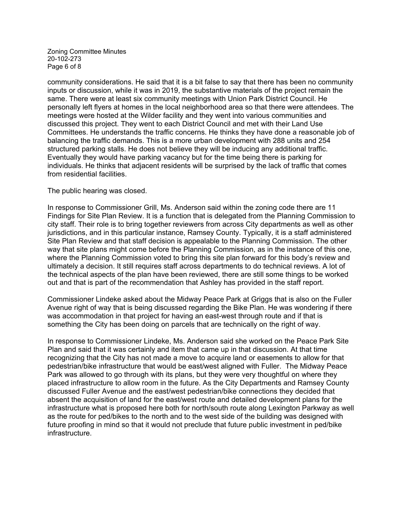Zoning Committee Minutes 20-102-273 Page 6 of 8

community considerations. He said that it is a bit false to say that there has been no community inputs or discussion, while it was in 2019, the substantive materials of the project remain the same. There were at least six community meetings with Union Park District Council. He personally left flyers at homes in the local neighborhood area so that there were attendees. The meetings were hosted at the Wilder facility and they went into various communities and discussed this project. They went to each District Council and met with their Land Use Committees. He understands the traffic concerns. He thinks they have done a reasonable job of balancing the traffic demands. This is a more urban development with 288 units and 254 structured parking stalls. He does not believe they will be inducing any additional traffic. Eventually they would have parking vacancy but for the time being there is parking for individuals. He thinks that adjacent residents will be surprised by the lack of traffic that comes from residential facilities.

The public hearing was closed.

In response to Commissioner Grill, Ms. Anderson said within the zoning code there are 11 Findings for Site Plan Review. It is a function that is delegated from the Planning Commission to city staff. Their role is to bring together reviewers from across City departments as well as other jurisdictions, and in this particular instance, Ramsey County. Typically, it is a staff administered Site Plan Review and that staff decision is appealable to the Planning Commission. The other way that site plans might come before the Planning Commission, as in the instance of this one, where the Planning Commission voted to bring this site plan forward for this body's review and ultimately a decision. It still requires staff across departments to do technical reviews. A lot of the technical aspects of the plan have been reviewed, there are still some things to be worked out and that is part of the recommendation that Ashley has provided in the staff report.

Commissioner Lindeke asked about the Midway Peace Park at Griggs that is also on the Fuller Avenue right of way that is being discussed regarding the Bike Plan. He was wondering if there was accommodation in that project for having an east-west through route and if that is something the City has been doing on parcels that are technically on the right of way.

In response to Commissioner Lindeke, Ms. Anderson said she worked on the Peace Park Site Plan and said that it was certainly and item that came up in that discussion. At that time recognizing that the City has not made a move to acquire land or easements to allow for that pedestrian/bike infrastructure that would be east/west aligned with Fuller. The Midway Peace Park was allowed to go through with its plans, but they were very thoughtful on where they placed infrastructure to allow room in the future. As the City Departments and Ramsey County discussed Fuller Avenue and the east/west pedestrian/bike connections they decided that absent the acquisition of land for the east/west route and detailed development plans for the infrastructure what is proposed here both for north/south route along Lexington Parkway as well as the route for ped/bikes to the north and to the west side of the building was designed with future proofing in mind so that it would not preclude that future public investment in ped/bike infrastructure.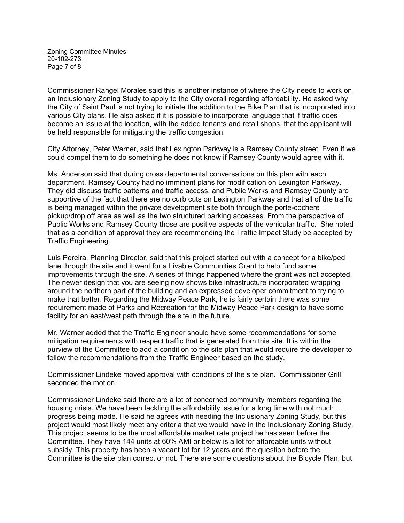Zoning Committee Minutes 20-102-273 Page 7 of 8

Commissioner Rangel Morales said this is another instance of where the City needs to work on an Inclusionary Zoning Study to apply to the City overall regarding affordability. He asked why the City of Saint Paul is not trying to initiate the addition to the Bike Plan that is incorporated into various City plans. He also asked if it is possible to incorporate language that if traffic does become an issue at the location, with the added tenants and retail shops, that the applicant will be held responsible for mitigating the traffic congestion.

City Attorney, Peter Warner, said that Lexington Parkway is a Ramsey County street. Even if we could compel them to do something he does not know if Ramsey County would agree with it.

Ms. Anderson said that during cross departmental conversations on this plan with each department, Ramsey County had no imminent plans for modification on Lexington Parkway. They did discuss traffic patterns and traffic access, and Public Works and Ramsey County are supportive of the fact that there are no curb cuts on Lexington Parkway and that all of the traffic is being managed within the private development site both through the porte-cochere pickup/drop off area as well as the two structured parking accesses. From the perspective of Public Works and Ramsey County those are positive aspects of the vehicular traffic. She noted that as a condition of approval they are recommending the Traffic Impact Study be accepted by Traffic Engineering.

Luis Pereira, Planning Director, said that this project started out with a concept for a bike/ped lane through the site and it went for a Livable Communities Grant to help fund some improvements through the site. A series of things happened where the grant was not accepted. The newer design that you are seeing now shows bike infrastructure incorporated wrapping around the northern part of the building and an expressed developer commitment to trying to make that better. Regarding the Midway Peace Park, he is fairly certain there was some requirement made of Parks and Recreation for the Midway Peace Park design to have some facility for an east/west path through the site in the future.

Mr. Warner added that the Traffic Engineer should have some recommendations for some mitigation requirements with respect traffic that is generated from this site. It is within the purview of the Committee to add a condition to the site plan that would require the developer to follow the recommendations from the Traffic Engineer based on the study.

Commissioner Lindeke moved approval with conditions of the site plan. Commissioner Grill seconded the motion.

Commissioner Lindeke said there are a lot of concerned community members regarding the housing crisis. We have been tackling the affordability issue for a long time with not much progress being made. He said he agrees with needing the Inclusionary Zoning Study, but this project would most likely meet any criteria that we would have in the Inclusionary Zoning Study. This project seems to be the most affordable market rate project he has seen before the Committee. They have 144 units at 60% AMI or below is a lot for affordable units without subsidy. This property has been a vacant lot for 12 years and the question before the Committee is the site plan correct or not. There are some questions about the Bicycle Plan, but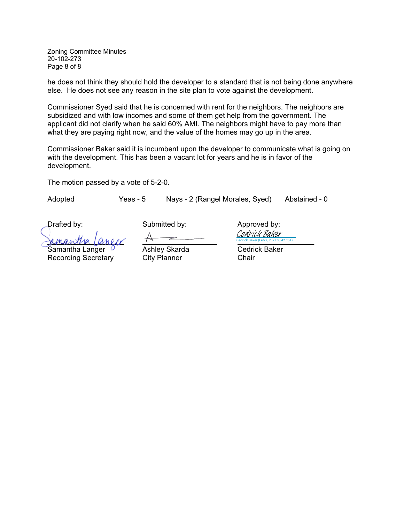Zoning Committee Minutes 20-102-273 Page 8 of 8

he does not think they should hold the developer to a standard that is not being done anywhere else. He does not see any reason in the site plan to vote against the development.

Commissioner Syed said that he is concerned with rent for the neighbors. The neighbors are subsidized and with low incomes and some of them get help from the government. The applicant did not clarify when he said 60% AMI. The neighbors might have to pay more than what they are paying right now, and the value of the homes may go up in the area.

Commissioner Baker said it is incumbent upon the developer to communicate what is going on with the development. This has been a vacant lot for years and he is in favor of the development.

The motion passed by a vote of 5-2-0.

Adopted Yeas - 5 Nays - 2 (Rangel Morales, Syed) Abstained - 0

Drafted by: Submitted by: Drafted by: Approved by: <u>UMANTHELICOTTI Cedrick Baker (Feb 2, 2021 08:42 CST)</u>

Samantha Langer  $\overline{O}$  Ashley Skarda Cedrick Baker Recording Secretary City Planner Chair

 $(42)$  CST) Cedrick Baker